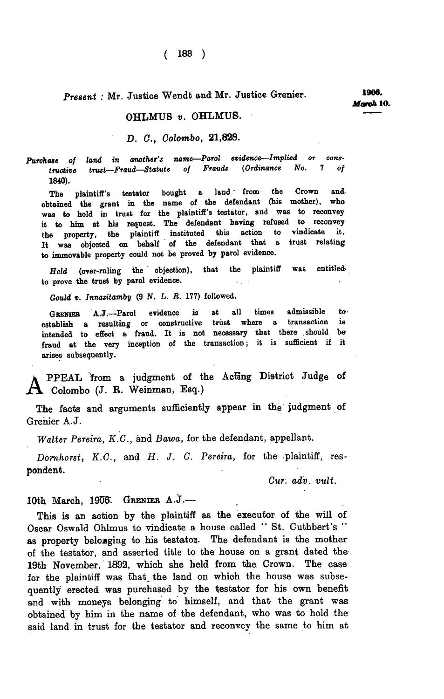**( 183 )** 

## *Present :* **Mr. Justice Wendt and Mr. Justice Grenier.** *1909.*

## **OHLMUS** *v.* **OHLMUB.**

## *D. C, Colombo,* **21,828.**

*Purchase of land in another's name—Parol evidence—Implied or constructive trust—Fraud—Statute of Frauds (Ordinance No.* **7** *of*  **1840).** 

The plaintiff's testator bought a land from the Crown and **obtained the grant in the name of the defendant (his mother), who was to hold in trust for the plaintiff's testator, and was to reconvey it to him at his request. The defendant having refused to reconvey the property, the plaintiff instituted this action to vindicate it. It was objected on behalf of the defendant that a trust relating to immovable property could not be proved by parol evidence.** 

*Held* **(over-ruling the objection), that the plaintiff was entitledto prove the trust by parol evidence.** 

*Gould v. Innasitamby* **(9** *N. L. R.* **177) followed.** 

GBENIER A.J.--Parol evidence is at all times admissible to **definition** or constructive trust where a transaction is **establish a resulting or constructive trust where a transaction is intended to effect a fraud. It is not necessary that there .should be**  fraud at the very inception of the transaction; it is sufficient if it **arises subsequently.** 

**PPEAL from a judgment of the Acting District Judge of Colombo (J. R. Weinman, Esq.)** 

**The facts and arguments sufficiently appear in the judgment of Grenier A.J.** 

*Walter Pereira, K.C.,* **and** *Bawa,* **for the defendant, appellant.** 

*Domhorst, K.C.,* **and** *H. J. C. Pereira,* **for the plaintiff, respondent.** 

*Cur: adv. vult.* 

## 10th March, 1906. GRENIER A.J.-

**This is an action by the plaintiff as the executor of the will of Oscar Oswald Ohlmus to vindicate a house called " St. Cuthbert's "**  as property belonging to his testator. The defendant is the mother **of the testator, and asserted title to the house on a grant dated the 19th November, 1892, which she held from the Crown. The case for the plaintiff was that, the land on which the house was subsequently erected was purchased by the testator for his own benefit and with moneys belonging to himself, and that the grant was obtained by him in the name of the defendant, who was to hold the said land in trust for the testator and reconvey the same to him at**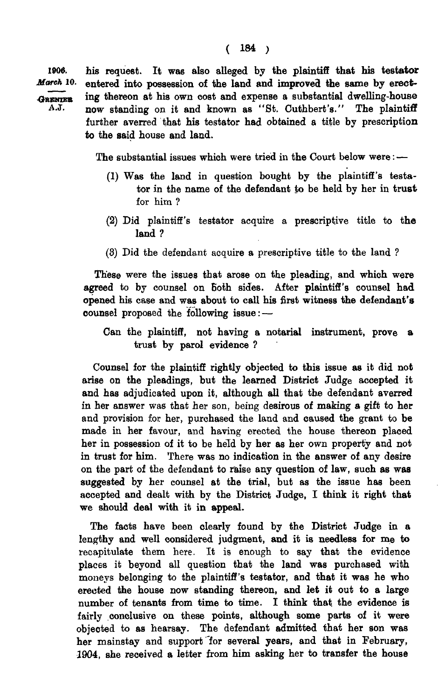1906. his request. It was also alleged by the plaintiff that his testator<br>*March* 10. entered into possession of the land and improved the same by erectentered into possession of the land and improved the same by erect-GRENTER ing thereon at his own cost and expense a substantial dwelling-house A.J. now standing on it and known as "St. Cuthbert's." The plaintiff further averred that his testator had obtained a title by prescription to the said house and land.

The substantial issues which were tried in the Court below were: —

- (1) Was the land in question bought by the plaintiff's testator in the name of the defendant to be held by her in trust for him ?
- (2) Did plaintiff's testator acquire a prescriptive title to the land ?
- (3) Did the defendant acquire a prescriptive title to the land ?

These were the issues that arose on the pleading, and which were agreed to by counsel on both sides. After plaintiff's counsel had opened his case and was about to call his first witness the defendant's counsel proposed the following issue: —

Can the plaintiff, not having a notarial instrument, prove a trust by parol evidence ?

Counsel for the plaintiff rightly objected to this issue as it did not arise on the pleadings, but the learned District Judge accepted it and has adjudicated upon it, although all that the defendant averred in her answer was that her son, being desirous of making a gift to her and provision for her, purchased the land and caused the grant to be made in her favour, and having erected the house thereon placed her in possession of it to be held by her as her own property and not in trust for him. There was no indication in the answer of any desire on the part of the defendant to raise any question of law, such as was suggested by her counsel at the trial, but as the issue has been accepted and dealt with by the District Judge, I think it right that we should deal with it in appeal.

The facts have been clearly found by the District Judge in a lengthy and well considered judgment, and it is needless for me to recapitulate them here. It is enough to say that the evidence places it beyond all question that the land was purchased with moneys belonging to the plaintiff's testator, and that it was he who erected the house now standing thereon, and let it out to a large number of tenants from time to time. I think that, the evidence is fairly conclusive on these points, although some parts of it were objected to as hearsay. The defendant admitted that her son was her mainstay and support 'for several years, and that in February, 1904, she received a letter from him asking her to transfer the house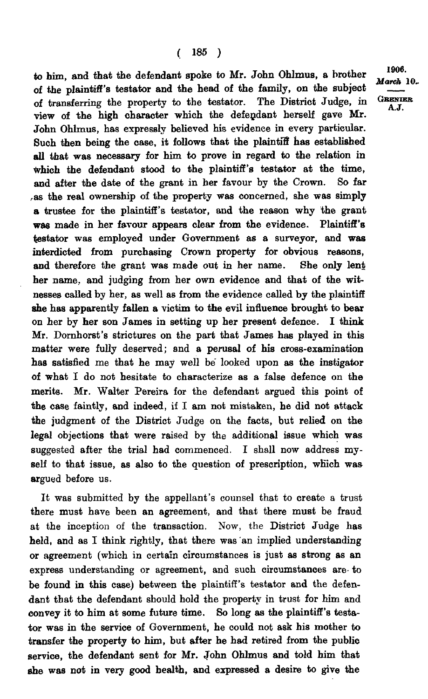to him, and that the defendant spoke to Mr. John Ohlmus, a brother of the plaintiff's testator and the head of the family, on the subject of transferring the property to the testator. The District Judge, in view of the high character which the defendant herself gave Mr. John Ohlmus, has expressly believed his evidence in every particular. Such then being the case, it follows that the plaintiff has established all that was necessary for him to prove in regard to the relation in which the defendant stood to the plaintiff's testator at the time, and after the date of the grant in her favour by the Crown. So far ,as the real ownership of the property was concerned, she was simply a trustee for the plaintiff's testator, and the reason why the grant was made in her favour appears clear from the evidence. Plaintiff's testator was employed under Government as a surveyor, and was interdicted from purchasing Crown property for obvious reasons, and therefore the grant was made out in her name. She only lent her name, and judging from her own evidence and that of the witnesses called by her, as well as from the evidence called by the plaintiff she has apparently fallen a victim to the evil influence brought to bear on her by her son James in setting up her present defence. I think Mr. Dornhorst's strictures on the part that James has played in this matter were fully deserved; and a perusal of his cross-examination has satisfied me that he may well be looked upon as the instigator of what I do not hesitate to characterize as a false defence on the merits. Mr. Walter Pereira for the defendant argued this point of the case faintly, and indeed, if I am not mistaken, he did not attack the judgment of the District Judge on the facts, but relied on the legal objections that were raised by the additional issue which was suggested after the trial had commenced. I shall now address myself to that issue, as also to the question of prescription, which was argued before us.

It was submitted by the appellant's counsel that to create a trust there must have been an agreement, and that there must be fraud at the inception of the transaction. Now, the District Judge has held, and as I think rightly, that there was an implied understanding or agreement (which in certain circumstances is just as strong as an express understanding or agreement, and such circumstances are- to be found in this case) between the plaintiff's testator and the defendant that the defendant should hold the property in trust for him and convey it to him at some future time. So long as the plaintiff's testator was in the service of Government, he could not ask his mother to transfer the property to him, but after he had retired from the public service, the defendant sent for Mr. John Ohlmus and told him that she was not in very good health, and expressed a desire to give the

<sup>1906</sup>**.** *March* 10, **GRENIER** A.J.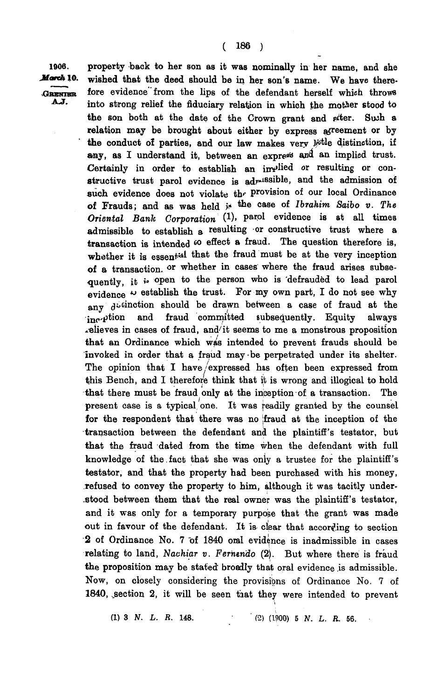**1906. property back to her son as it was nominally in her name, and she**  *March* 10. wished that the deed should be in her son's name. We have there-GRENIER fore evidence from the lips of the defendant herself which throws AJ. into strong relief the fiduciary relation in which the mother stood to the son both at the date of the Crown grant and *piter*. Such a relation may be brought about either by express afreement or by the conduct of parties, and our law makes very litle distinction, if any, as I understand it, between an express and an implied trust. **Certainly in order to establish an implied or resulting or constructive trust parol evidence is ad<sub>***r***</sub>1881D1e, and the admission of** such evidence does not violate the provision of our local Ordinance **of Frauds; and as was held** is the case of *Ibrahim Saibo v. The Oriental Bank Corporation* (1), parof evidence is at all times **admissible to establish a resulting or constructive trust where a**  transaction is intended  $\infty$  effect a fraud. The question therefore is, **whether it is essental may me hadd must be at the very inception of a transaction**, or whether in cases where the fraud arises subsequently, it is open to the person who is defrauded to lead parol evidence  $\sim$  establish the trust. For my own part, I do not see why any d<sup>\*</sup>  $\alpha$  **f**  $\alpha$  **cm**  $\alpha$  **cm**  $\alpha$  **f**  $\alpha$  **c**  $\alpha$  **c**  $\alpha$  **c**  $\alpha$  **c**  $\alpha$  **c**  $\alpha$  **c**  $\alpha$  **c**  $\alpha$  **c**  $\alpha$  **c**  $\alpha$  **c**  $\alpha$  **c**  $\alpha$  **c**  $\alpha$  **c**  $\alpha$  **c**  $\alpha$  **c**  $\alpha$  **c**  $\alpha$  **c**  $\alpha$  **c**  $\alpha$  **c**  $\alpha$ **him Philom and fraud committed subsequently. Equity always elieves in cases of fraud, and it seems to me a monstrous proposition relieves in cases of fraud, and/ it seems to me a monstrous proposition**  invoked in order that a fraud may be perpetrated under its shelter. The opinion that I have/expressed has often been expressed from this Bench, and I therefore think that it is wrong and illogical to hold that there must be fraud only at the inception of a transaction. The present case is a typical one. It was readily granted by the counsel for the respondent that there was no fraud at the inception of the transaction between the defendant and the plaintiff's testator, but that the fraud dated from the time when the defendant with full **that the fraud dated from the time when the defendant with full knowledge of the.fact that she was only a trustee for the plaintiff's testator, and that the property had been purchased with his money, refused to convey the property to him, although it was tacitly understood between them that the real owner was the plaintiff's testator, and it was only for a temporary purpose that the grant was made out in favour of the defendant. It is clear that according to section 2 of Ordinance No. 7 of 1840 oral evidence is inadmissible in cases relating to land,** *Nachiar v. Fermndo* **(2). But where there is fraud the proposition may be stated broadly that oral evidence is admissible. Now, on closely considering the provisions of Ordinance No. 7 of 1840, .section 2, it will be seen taat they were intended to prevent** 

**(1) 3** *N. L. R.* **148.** f-2) (1900) **5** *N. L. R.* **56.**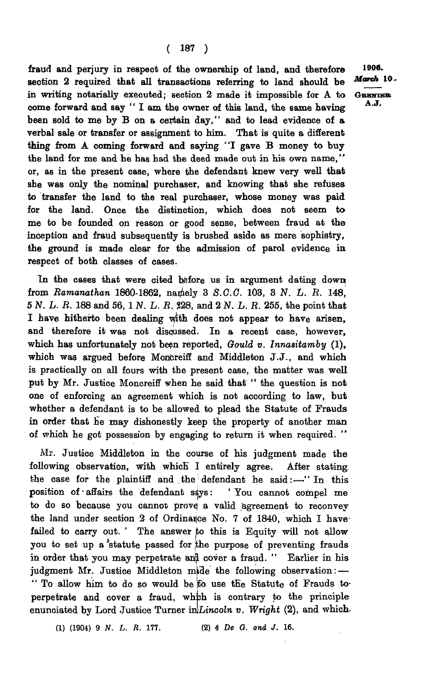**fraud and perjury in respect of the ownership of land, and therefore section 2 required that all transactions referring to land should be in writing notarially executed; section 2 made it impossible for A to come forward and say " I am the owner of this land, the same having been sold to me by B on a certain day," and to lead evidence of a verbal sale or transfer or assignment to him. That is quite a different thing from A coming forward and saying "I gave B money to buy the land for me and he has had the deed made out in his own name," or, as in the present case, where the defendant knew very well that she was only the nominal purchaser, and knowing that she refuses to transfer the land to the real purchaser, whose money was paid for the land. Once the distinction, which does not seem to me to be founded on reason or good sense, between fraud at the inception and fraud subsequently is brushed aside as mere sophistry, the ground is made clear for the admission of parol evidence in respect of both classes of cases.** 

**In the cases that were cited before us in argument dating down**  from *Ramanathan* 1860-1862, namely 3 S.C.C. 103, 3 N. L. R. 148, **5** *N. L. R.* **188 and 56, 1***N. L. R.* **?28, and 2** *N. L. R.* **255, the point that I have hitherto been dealing with does not appear to have arisen, and therefore it was not discussed. In a recent case, however, which has unfortunately not been reported,** *Gould v. Innasitamby* **(1), which was argued before Moncreiff and Middleton J.J., and which is practically on all fours with the present case, the matter was well put by Mr. Justice Moncreiff when he said that " the question is not one of enforcing an agreement which is not according to law, but whether a defendant is to be allowed to plead the Statute of Frauds in order that he may dishonestly keep the property of another man of which he got possession by engaging to return it when required.** 

**Mr. Justice Middleton in the course of his judgment made the following observation, with which I entirely agree. After stating, the case for the plaintiff and the defendant he said:—" In this position of • affairs the defendant says: ' You cannot compel me to do so because you cannot prove; a valid agreement to reconvey the land under section 2 of Ordinance No. 7 of 1840, which I have**  failed to carry out. ' The answer to this is Equity will not allow **you to set up a "statute passed for ^he purpose of preventing frauds**  in order that you may perpetrate and cover a fraud. " Earlier in his judgment Mr. Justice Middleton mide the following observation: -**" To allow him to do so would be jfb use the Statute of Frauds to**perpetrate and cover a fraud, which is contrary to the principle enunciated by Lord Justice Turner in Lincoln v. Wright (2), and which.

**a) (1904) 9** *N. L. R.* **177. (2)** *4 De G. and J.* **16.** 

**1906.**  *March* **10 . GBHHIKK A.J .**